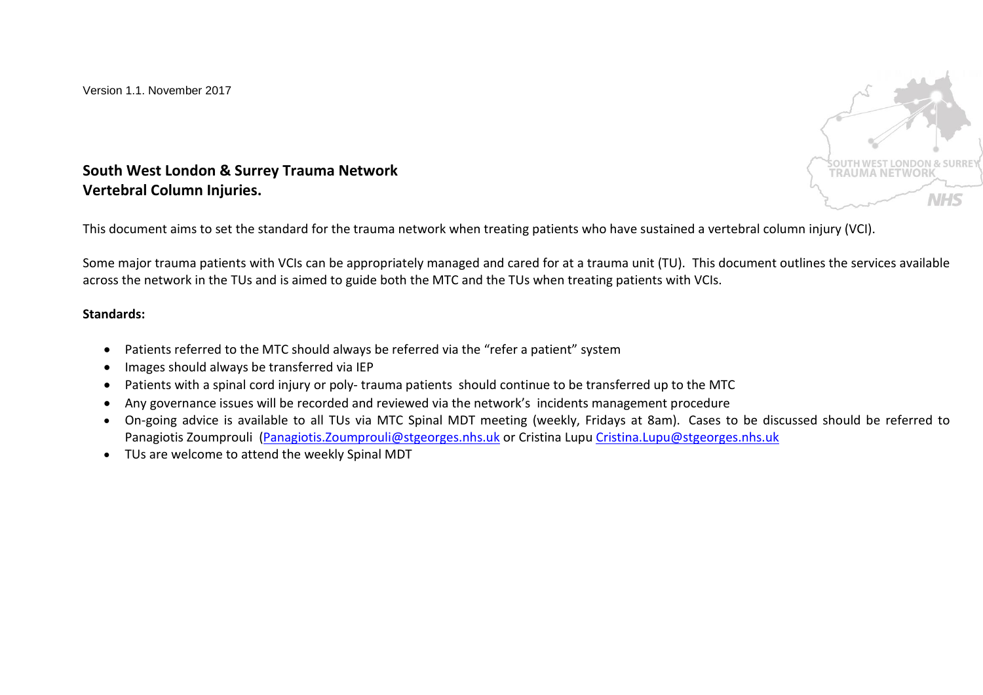

**South West London & Surrey Trauma Network Vertebral Column Injuries.** 

This document aims to set the standard for the trauma network when treating patients who have sustained a vertebral column injury (VCI).

Some major trauma patients with VCIs can be appropriately managed and cared for at a trauma unit (TU). This document outlines the services available across the network in the TUs and is aimed to guide both the MTC and the TUs when treating patients with VCIs.

## **Standards:**

- Patients referred to the MTC should always be referred via the "refer a patient" system
- Images should always be transferred via IEP
- Patients with a spinal cord injury or poly- trauma patients should continue to be transferred up to the MTC
- Any governance issues will be recorded and reviewed via the network's incidents management procedure
- On-going advice is available to all TUs via MTC Spinal MDT meeting (weekly, Fridays at 8am). Cases to be discussed should be referred to Panagiotis Zoumprouli [\(Panagiotis.Zoumprouli@stgeorges.nhs.uk](mailto:Panagiotis.Zoumprouli@stgeorges.nhs.uk) or Cristina Lupu [Cristina.Lupu@stgeorges.nhs.uk](mailto:Cristina.Lupu@stgeorges.nhs.uk)
- TUs are welcome to attend the weekly Spinal MDT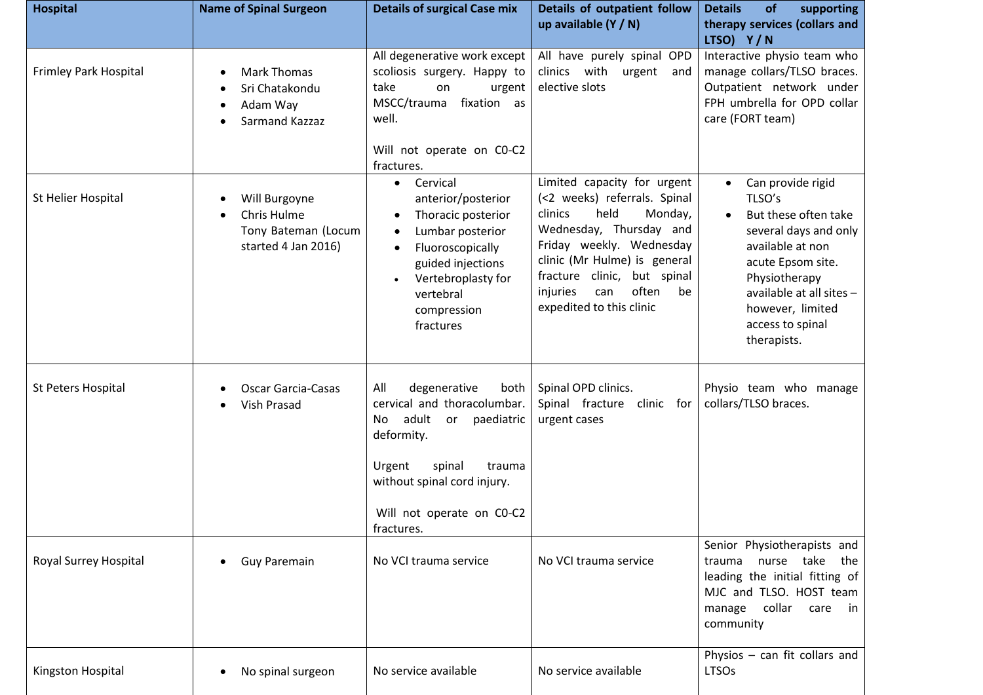| <b>Hospital</b>       | <b>Name of Spinal Surgeon</b>                                              | <b>Details of surgical Case mix</b>                                                                                                                                                                               | Details of outpatient follow<br>up available $(Y / N)$                                                                                                                                                                                                                        | <b>Details</b><br>supporting<br><b>of</b><br>therapy services (collars and<br>LTSO) Y/N                                                                                                                                                             |
|-----------------------|----------------------------------------------------------------------------|-------------------------------------------------------------------------------------------------------------------------------------------------------------------------------------------------------------------|-------------------------------------------------------------------------------------------------------------------------------------------------------------------------------------------------------------------------------------------------------------------------------|-----------------------------------------------------------------------------------------------------------------------------------------------------------------------------------------------------------------------------------------------------|
| Frimley Park Hospital | <b>Mark Thomas</b><br>Sri Chatakondu<br>Adam Way<br>Sarmand Kazzaz         | All degenerative work except<br>scoliosis surgery. Happy to<br>take<br>on<br>urgent<br>MSCC/trauma<br>fixation as<br>well.<br>Will not operate on CO-C2                                                           | All have purely spinal OPD<br>clinics with<br>urgent and<br>elective slots                                                                                                                                                                                                    | Interactive physio team who<br>manage collars/TLSO braces.<br>Outpatient network under<br>FPH umbrella for OPD collar<br>care (FORT team)                                                                                                           |
|                       |                                                                            | fractures.                                                                                                                                                                                                        |                                                                                                                                                                                                                                                                               |                                                                                                                                                                                                                                                     |
| St Helier Hospital    | Will Burgoyne<br>Chris Hulme<br>Tony Bateman (Locum<br>started 4 Jan 2016) | Cervical<br>$\bullet$<br>anterior/posterior<br>Thoracic posterior<br>Lumbar posterior<br>Fluoroscopically<br>$\bullet$<br>guided injections<br>Vertebroplasty for<br>vertebral<br>compression<br>fractures        | Limited capacity for urgent<br>(<2 weeks) referrals. Spinal<br>held<br>clinics<br>Monday,<br>Wednesday, Thursday and<br>Friday weekly. Wednesday<br>clinic (Mr Hulme) is general<br>fracture clinic, but spinal<br>often<br>be<br>injuries<br>can<br>expedited to this clinic | Can provide rigid<br>$\bullet$<br>TLSO's<br>But these often take<br>$\bullet$<br>several days and only<br>available at non<br>acute Epsom site.<br>Physiotherapy<br>available at all sites -<br>however, limited<br>access to spinal<br>therapists. |
| St Peters Hospital    | <b>Oscar Garcia-Casas</b><br>Vish Prasad                                   | All<br>degenerative<br>both<br>cervical and thoracolumbar.<br>adult or<br>paediatric<br>No.<br>deformity.<br>Urgent<br>spinal<br>trauma<br>without spinal cord injury.<br>Will not operate on CO-C2<br>fractures. | Spinal OPD clinics.<br>Spinal fracture<br>clinic for<br>urgent cases                                                                                                                                                                                                          | Physio team who manage<br>collars/TLSO braces.                                                                                                                                                                                                      |
| Royal Surrey Hospital | Guy Paremain                                                               | No VCI trauma service                                                                                                                                                                                             | No VCI trauma service                                                                                                                                                                                                                                                         | Senior Physiotherapists and<br>nurse take<br>the<br>trauma<br>leading the initial fitting of<br>MJC and TLSO. HOST team<br>collar<br>manage<br>care<br>in in<br>community                                                                           |
| Kingston Hospital     | No spinal surgeon                                                          | No service available                                                                                                                                                                                              | No service available                                                                                                                                                                                                                                                          | Physios $-$ can fit collars and<br><b>LTSOs</b>                                                                                                                                                                                                     |